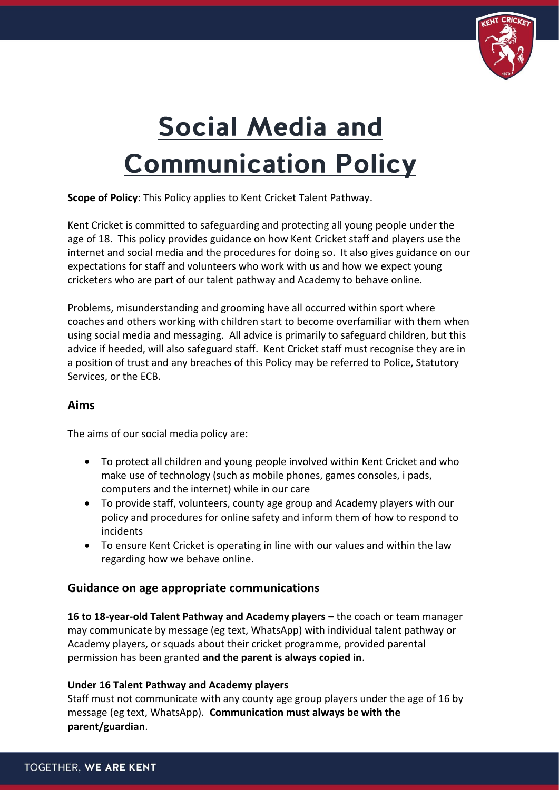

# **Social Media and Communication Policy**

**Scope of Policy**: This Policy applies to Kent Cricket Talent Pathway.

Kent Cricket is committed to safeguarding and protecting all young people under the age of 18. This policy provides guidance on how Kent Cricket staff and players use the internet and social media and the procedures for doing so. It also gives guidance on our expectations for staff and volunteers who work with us and how we expect young cricketers who are part of our talent pathway and Academy to behave online.

Problems, misunderstanding and grooming have all occurred within sport where coaches and others working with children start to become overfamiliar with them when using social media and messaging. All advice is primarily to safeguard children, but this advice if heeded, will also safeguard staff. Kent Cricket staff must recognise they are in a position of trust and any breaches of this Policy may be referred to Police, Statutory Services, or the ECB.

### **Aims**

The aims of our social media policy are:

- To protect all children and young people involved within Kent Cricket and who make use of technology (such as mobile phones, games consoles, i pads, computers and the internet) while in our care
- To provide staff, volunteers, county age group and Academy players with our policy and procedures for online safety and inform them of how to respond to incidents
- To ensure Kent Cricket is operating in line with our values and within the law regarding how we behave online.

## **Guidance on age appropriate communications**

**16 to 18-year-old Talent Pathway and Academy players –** the coach or team manager may communicate by message (eg text, WhatsApp) with individual talent pathway or Academy players, or squads about their cricket programme, provided parental permission has been granted **and the parent is always copied in**.

#### **Under 16 Talent Pathway and Academy players**

Staff must not communicate with any county age group players under the age of 16 by message (eg text, WhatsApp). **Communication must always be with the parent/guardian**.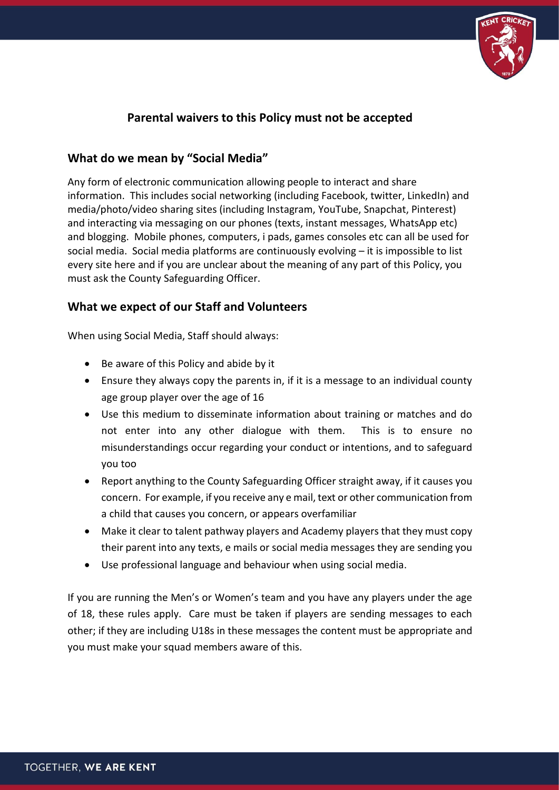

# **Parental waivers to this Policy must not be accepted**

## **What do we mean by "Social Media"**

Any form of electronic communication allowing people to interact and share information. This includes social networking (including Facebook, twitter, LinkedIn) and media/photo/video sharing sites (including Instagram, YouTube, Snapchat, Pinterest) and interacting via messaging on our phones (texts, instant messages, WhatsApp etc) and blogging. Mobile phones, computers, i pads, games consoles etc can all be used for social media. Social media platforms are continuously evolving – it is impossible to list every site here and if you are unclear about the meaning of any part of this Policy, you must ask the County Safeguarding Officer.

## **What we expect of our Staff and Volunteers**

When using Social Media, Staff should always:

- Be aware of this Policy and abide by it
- Ensure they always copy the parents in, if it is a message to an individual county age group player over the age of 16
- Use this medium to disseminate information about training or matches and do not enter into any other dialogue with them. This is to ensure no misunderstandings occur regarding your conduct or intentions, and to safeguard you too
- Report anything to the County Safeguarding Officer straight away, if it causes you concern. For example, if you receive any e mail, text or other communication from a child that causes you concern, or appears overfamiliar
- Make it clear to talent pathway players and Academy players that they must copy their parent into any texts, e mails or social media messages they are sending you
- Use professional language and behaviour when using social media.

If you are running the Men's or Women's team and you have any players under the age of 18, these rules apply. Care must be taken if players are sending messages to each other; if they are including U18s in these messages the content must be appropriate and you must make your squad members aware of this.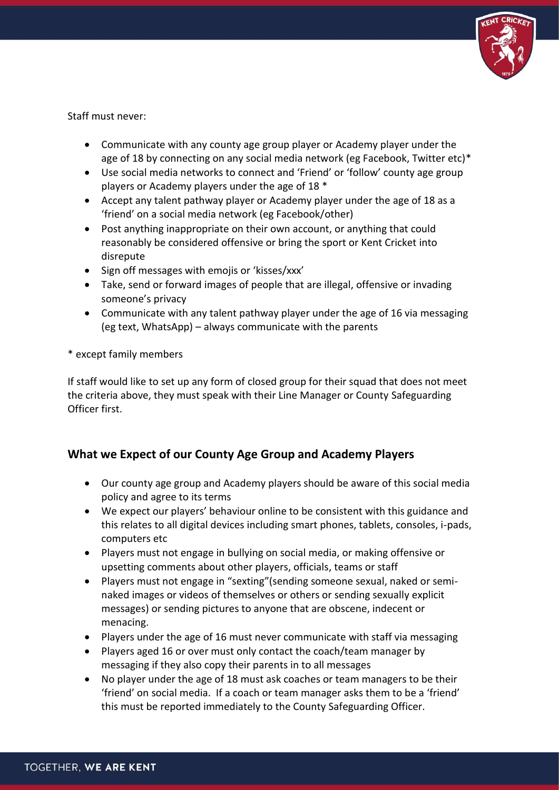

Staff must never:

- Communicate with any county age group player or Academy player under the age of 18 by connecting on any social media network (eg Facebook, Twitter etc)\*
- Use social media networks to connect and 'Friend' or 'follow' county age group players or Academy players under the age of 18 \*
- Accept any talent pathway player or Academy player under the age of 18 as a 'friend' on a social media network (eg Facebook/other)
- Post anything inappropriate on their own account, or anything that could reasonably be considered offensive or bring the sport or Kent Cricket into disrepute
- Sign off messages with emojis or 'kisses/xxx'
- Take, send or forward images of people that are illegal, offensive or invading someone's privacy
- Communicate with any talent pathway player under the age of 16 via messaging (eg text, WhatsApp) – always communicate with the parents

\* except family members

If staff would like to set up any form of closed group for their squad that does not meet the criteria above, they must speak with their Line Manager or County Safeguarding Officer first.

# **What we Expect of our County Age Group and Academy Players**

- Our county age group and Academy players should be aware of this social media policy and agree to its terms
- We expect our players' behaviour online to be consistent with this guidance and this relates to all digital devices including smart phones, tablets, consoles, i-pads, computers etc
- Players must not engage in bullying on social media, or making offensive or upsetting comments about other players, officials, teams or staff
- Players must not engage in "sexting"(sending someone sexual, naked or seminaked images or videos of themselves or others or sending sexually explicit messages) or sending pictures to anyone that are obscene, indecent or menacing.
- Players under the age of 16 must never communicate with staff via messaging
- Players aged 16 or over must only contact the coach/team manager by messaging if they also copy their parents in to all messages
- No player under the age of 18 must ask coaches or team managers to be their 'friend' on social media. If a coach or team manager asks them to be a 'friend' this must be reported immediately to the County Safeguarding Officer.